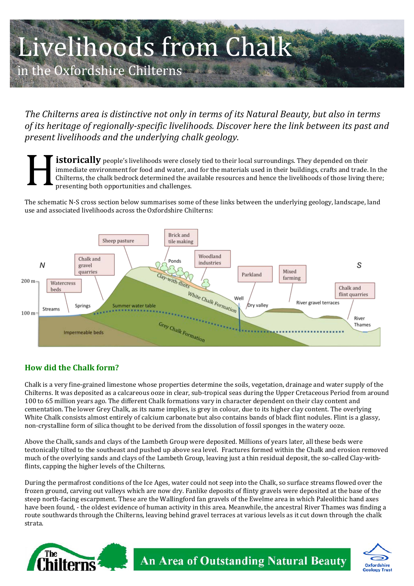# Livelihoods from Chalk n the Oxfordshire Chilterns

The Chilterns area is distinctive not only in terms of its Natural Beauty, but also in terms of its heritage of regionally-specific livelihoods. Discover here the link between its past and present livelihoods and the underlying chalk geology.

**istorically** people's livelihoods were closely tied to their local surroundings. They depended on their immediate environment for food and water, and for the materials used in their buildings, crafts and trade. In the Chilterns, the chalk bedrock determined the available resources and hence the livelihoods of those living there; presenting both opportunities and challenges.

The schematic N-S cross section below summarises some of these links between the underlying geology, landscape, land use and associated livelihoods across the Oxfordshire Chilterns:



### **How did the Chalk form?**

Chalk is a very fine-grained limestone whose properties determine the soils, vegetation, drainage and water supply of the Chilterns. It was deposited as a calcareous ooze in clear, sub-tropical seas during the Upper Cretaceous Period from around 100 to 65 million years ago. The different Chalk formations vary in character dependent on their clay content and cementation. The lower Grey Chalk, as its name implies, is grey in colour, due to its higher clay content. The overlying White Chalk consists almost entirely of calcium carbonate but also contains bands of black flint nodules. Flint is a glassy, non-crystalline form of silica thought to be derived from the dissolution of fossil sponges in the watery ooze.

Above the Chalk, sands and clays of the Lambeth Group were deposited. Millions of years later, all these beds were tectonically tilted to the southeast and pushed up above sea level. Fractures formed within the Chalk and erosion removed much of the overlying sands and clays of the Lambeth Group, leaving just a thin residual deposit, the so-called Clay-withflints, capping the higher levels of the Chilterns.

During the permafrost conditions of the Ice Ages, water could not seep into the Chalk, so surface streams flowed over the frozen ground, carving out valleys which are now dry. Fanlike deposits of flinty gravels were deposited at the base of the steep north-facing escarpment. These are the Wallingford fan gravels of the Ewelme area in which Paleolithic hand axes have been found. - the oldest evidence of human activity in this area. Meanwhile, the ancestral River Thames was finding a route southwards through the Chilterns, leaving behind gravel terraces at various levels as it cut down through the chalk strata.



An Area of Outstanding Natural Beauty

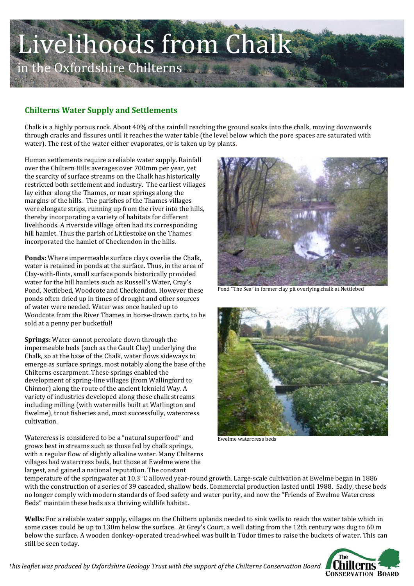### Livelihoods from Chalk in the Oxfordshire Chilterns

#### **Chilterns Water Supply and Settlements**

Chalk is a highly porous rock. About 40% of the rainfall reaching the ground soaks into the chalk, moving downwards through cracks and fissures until it reaches the water table (the level below which the pore spaces are saturated with water). The rest of the water either evaporates, or is taken up by plants.

Human settlements require a reliable water supply. Rainfall over the Chiltern Hills averages over 700mm per year, yet the scarcity of surface streams on the Chalk has historically restricted both settlement and industry. The earliest villages lay either along the Thames, or near springs along the margins of the hills. The parishes of the Thames villages were elongate strips, running up from the river into the hills, thereby incorporating a variety of habitats for different livelihoods. A riverside village often had its corresponding hill hamlet. Thus the parish of Littlestoke on the Thames incorporated the hamlet of Checkendon in the hills.

**Ponds:** Where impermeable surface clays overlie the Chalk, water is retained in ponds at the surface. Thus, in the area of Clay-with-flints, small surface ponds historically provided water for the hill hamlets such as Russell's Water, Cray's Pond, Nettlebed, Woodcote and Checkendon. However these ponds often dried up in times of drought and other sources of water were needed. Water was once hauled up to Woodcote from the River Thames in horse-drawn carts, to be sold at a penny per bucketful!

**Springs:** Water cannot percolate down through the impermeable beds (such as the Gault Clay) underlying the Chalk, so at the base of the Chalk, water flows sideways to emerge as surface springs, most notably along the base of the Chilterns escarpment. These springs enabled the development of spring-line villages (from Wallingford to Chinnor) along the route of the ancient Icknield Way. A variety of industries developed along these chalk streams including milling (with watermills built at Watlington and Ewelme), trout fisheries and, most successfully, watercress cultivation.!

Watercress is considered to be a "natural superfood" and grows best in streams such as those fed by chalk springs, with a regular flow of slightly alkaline water. Many Chilterns villages had watercress beds, but those at Ewelme were the largest, and gained a national reputation. The constant



Pond "The Sea" in former clay pit overlying chalk at Nettlebed



Ewelme watercress beds

temperature of the springwater at 10.3 °C allowed year-round growth. Large-scale cultivation at Ewelme began in 1886 with the construction of a series of 39 cascaded, shallow beds. Commercial production lasted until 1988. Sadly, these beds no longer comply with modern standards of food safety and water purity, and now the "Friends of Ewelme Watercress" Beds" maintain these beds as a thriving wildlife habitat.

**Wells:** For a reliable water supply, villages on the Chiltern uplands needed to sink wells to reach the water table which in some cases could be up to 130m below the surface. At Grey's Court, a well dating from the 12th century was dug to 60 m below the surface. A wooden donkey-operated tread-wheel was built in Tudor times to raise the buckets of water. This can still be seen today.



**This leaflet was produced by Oxfordshire Geology Trust with the support of the Chilterns Conservation Board**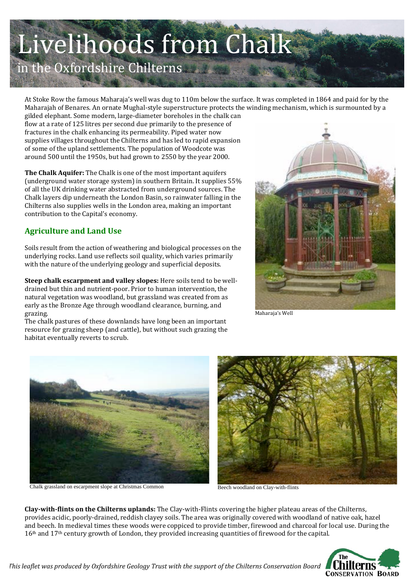## Livelihoods from Chalk

in the Oxfordshire Chilterns

At Stoke Row the famous Maharaja's well was dug to 110m below the surface. It was completed in 1864 and paid for by the Maharajah of Benares. An ornate Mughal-style superstructure protects the winding mechanism, which is surmounted by a

gilded elephant. Some modern, large-diameter boreholes in the chalk can flow at a rate of 125 litres per second due primarily to the presence of fractures in the chalk enhancing its permeability. Piped water now supplies villages throughout the Chilterns and has led to rapid expansion of some of the upland settlements. The population of Woodcote was around 500 until the 1950s, but had grown to 2550 by the year 2000.

The Chalk Aquifer: The Chalk is one of the most important aquifers (underground water storage system) in southern Britain. It supplies 55% of all the UK drinking water abstracted from underground sources. The Chalk layers dip underneath the London Basin, so rainwater falling in the Chilterns also supplies wells in the London area, making an important contribution to the Capital's economy.

### **Agriculture and Land Use**

Soils result from the action of weathering and biological processes on the underlying rocks. Land use reflects soil quality, which varies primarily with the nature of the underlying geology and superficial deposits.

Steep chalk escarpment and valley slopes: Here soils tend to be welldrained but thin and nutrient-poor. Prior to human intervention, the natural vegetation was woodland, but grassland was created from as early as the Bronze Age through woodland clearance, burning, and grazing.



Maharaja's Well

The chalk pastures of these downlands have long been an important resource for grazing sheep (and cattle), but without such grazing the habitat eventually reverts to scrub.



Chalk grassland on escarpment slope at Christmas Common



Beech woodland on Clay-with-flints

Clay-with-flints on the Chilterns uplands: The Clay-with-Flints covering the higher plateau areas of the Chilterns, provides acidic, poorly-drained, reddish clayey soils. The area was originally covered with woodland of native oak, hazel and beech. In medieval times these woods were coppiced to provide timber, firewood and charcoal for local use. During the 16<sup>th</sup> and 17<sup>th</sup> century growth of London, they provided increasing quantities of firewood for the capital.

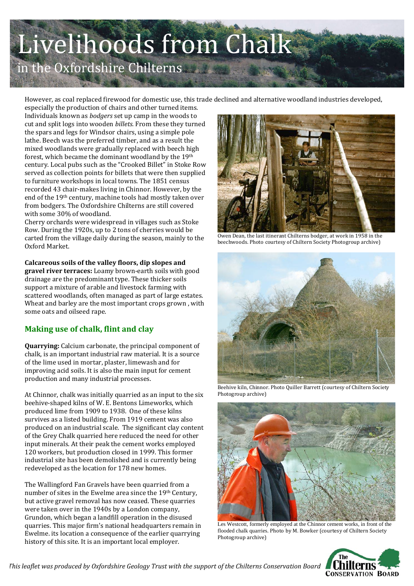### Livelihoods from Chalk in the Oxfordshire Chilterns

However, as coal replaced firewood for domestic use, this trade declined and alternative woodland industries developed,

especially the production of chairs and other turned items. Individuals known as *bodgers* set up camp in the woods to cut and split logs into wooden *billets*. From these they turned the spars and legs for Windsor chairs, using a simple pole lathe. Beech was the preferred timber, and as a result the mixed woodlands were gradually replaced with beech high forest, which became the dominant woodland by the 19th century. Local pubs such as the "Crooked Billet" in Stoke Row served as collection points for billets that were then supplied to furniture workshops in local towns. The 1851 census recorded 43 chair-makes living in Chinnor. However, by the end of the 19<sup>th</sup> century, machine tools had mostly taken over from bodgers. The Oxfordshire Chilterns are still covered with some 30% of woodland.

Cherry orchards were widespread in villages such as Stoke Row. During the 1920s, up to 2 tons of cherries would be carted from the village daily during the season, mainly to the Oxford Market.

Calcareous soils of the valley floors, dip slopes and gravel river terraces: Loamy brown-earth soils with good drainage are the predominant type. These thicker soils support a mixture of arable and livestock farming with scattered woodlands, often managed as part of large estates. Wheat and barley are the most important crops grown, with some oats and oilseed rape.

### **Making use of chalk, flint and clay**

**Quarrying:** Calcium carbonate, the principal component of chalk, is an important industrial raw material. It is a source of the lime used in mortar, plaster, limewash and for improving acid soils. It is also the main input for cement production and many industrial processes.

At Chinnor, chalk was initially quarried as an input to the six beehive-shaped kilns of W. E. Bentons Limeworks, which produced lime from 1909 to 1938. One of these kilns survives as a listed building. From 1919 cement was also produced on an industrial scale. The significant clay content of the Grey Chalk quarried here reduced the need for other input minerals. At their peak the cement works employed 120 workers, but production closed in 1999. This former industrial site has been demolished and is currently being redeveloped as the location for 178 new homes.

The Wallingford Fan Gravels have been quarried from a number of sites in the Ewelme area since the 19<sup>th</sup> Century, but active gravel removal has now ceased. These quarries were taken over in the 1940s by a London company, Grundon, which began a landfill operation in the disused quarries. This major firm's national headquarters remain in Ewelme. its location a consequence of the earlier quarrying history of this site. It is an important local employer.



Owen Dean, the last itinerant Chilterns bodger, at work in 1958 in the beechwoods. Photo courtesy of Chiltern Society Photogroup archive)



Beehive kiln, Chinnor. Photo Quiller Barrett (courtesy of Chiltern Society Photogroup archive)



Les Westcott, formerly employed at the Chinnor cement works, in front of the flooded chalk quarries. Photo by M. Bowker (courtesy of Chiltern Society Photogroup archive)



*This leaflet was produced by Oxfordshire Geology Trust with the support of the Chilterns Conservation Board*